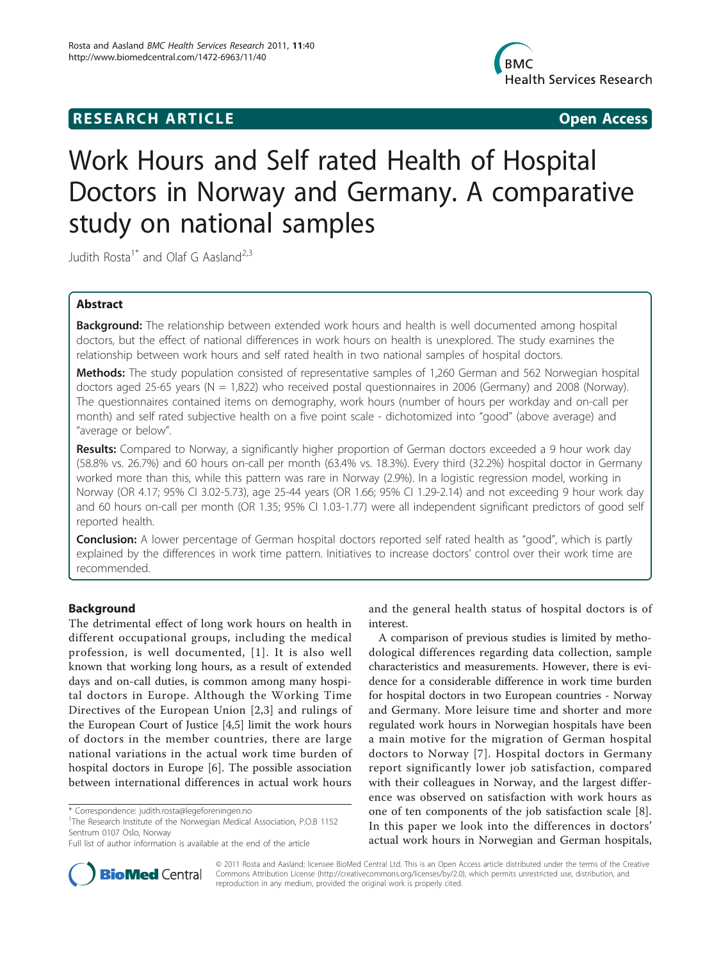# **RESEARCH ARTICLE Example 2018 CONSIDERING ACCESS**



# Work Hours and Self rated Health of Hospital Doctors in Norway and Germany. A comparative study on national samples

Judith Rosta<sup>1\*</sup> and Olaf G Aasland<sup>2,3</sup>

# Abstract

**Background:** The relationship between extended work hours and health is well documented among hospital doctors, but the effect of national differences in work hours on health is unexplored. The study examines the relationship between work hours and self rated health in two national samples of hospital doctors.

Methods: The study population consisted of representative samples of 1,260 German and 562 Norwegian hospital doctors aged 25-65 years (N = 1,822) who received postal questionnaires in 2006 (Germany) and 2008 (Norway). The questionnaires contained items on demography, work hours (number of hours per workday and on-call per month) and self rated subjective health on a five point scale - dichotomized into "good" (above average) and "average or below".

Results: Compared to Norway, a significantly higher proportion of German doctors exceeded a 9 hour work day (58.8% vs. 26.7%) and 60 hours on-call per month (63.4% vs. 18.3%). Every third (32.2%) hospital doctor in Germany worked more than this, while this pattern was rare in Norway (2.9%). In a logistic regression model, working in Norway (OR 4.17; 95% CI 3.02-5.73), age 25-44 years (OR 1.66; 95% CI 1.29-2.14) and not exceeding 9 hour work day and 60 hours on-call per month (OR 1.35; 95% CI 1.03-1.77) were all independent significant predictors of good self reported health.

**Conclusion:** A lower percentage of German hospital doctors reported self rated health as "good", which is partly explained by the differences in work time pattern. Initiatives to increase doctors' control over their work time are recommended.

# **Background**

The detrimental effect of long work hours on health in different occupational groups, including the medical profession, is well documented, [[1](#page-5-0)]. It is also well known that working long hours, as a result of extended days and on-call duties, is common among many hospital doctors in Europe. Although the Working Time Directives of the European Union [\[2](#page-5-0),[3\]](#page-5-0) and rulings of the European Court of Justice [[4,5\]](#page-5-0) limit the work hours of doctors in the member countries, there are large national variations in the actual work time burden of hospital doctors in Europe [[6\]](#page-5-0). The possible association between international differences in actual work hours

<sup>1</sup>The Research Institute of the Norwegian Medical Association, P.O.B 1152 Sentrum 0107 Oslo, Norway



A comparison of previous studies is limited by methodological differences regarding data collection, sample characteristics and measurements. However, there is evidence for a considerable difference in work time burden for hospital doctors in two European countries - Norway and Germany. More leisure time and shorter and more regulated work hours in Norwegian hospitals have been a main motive for the migration of German hospital doctors to Norway [[7\]](#page-5-0). Hospital doctors in Germany report significantly lower job satisfaction, compared with their colleagues in Norway, and the largest difference was observed on satisfaction with work hours as one of ten components of the job satisfaction scale [[8](#page-5-0)]. In this paper we look into the differences in doctors' actual work hours in Norwegian and German hospitals,



© 2011 Rosta and Aasland; licensee BioMed Central Ltd. This is an Open Access article distributed under the terms of the Creative Commons Attribution License [\(http://creativecommons.org/licenses/by/2.0](http://creativecommons.org/licenses/by/2.0)), which permits unrestricted use, distribution, and reproduction in any medium, provided the original work is properly cited.

<sup>\*</sup> Correspondence: [judith.rosta@legeforeningen.no](mailto:judith.rosta@legeforeningen.no)

Full list of author information is available at the end of the article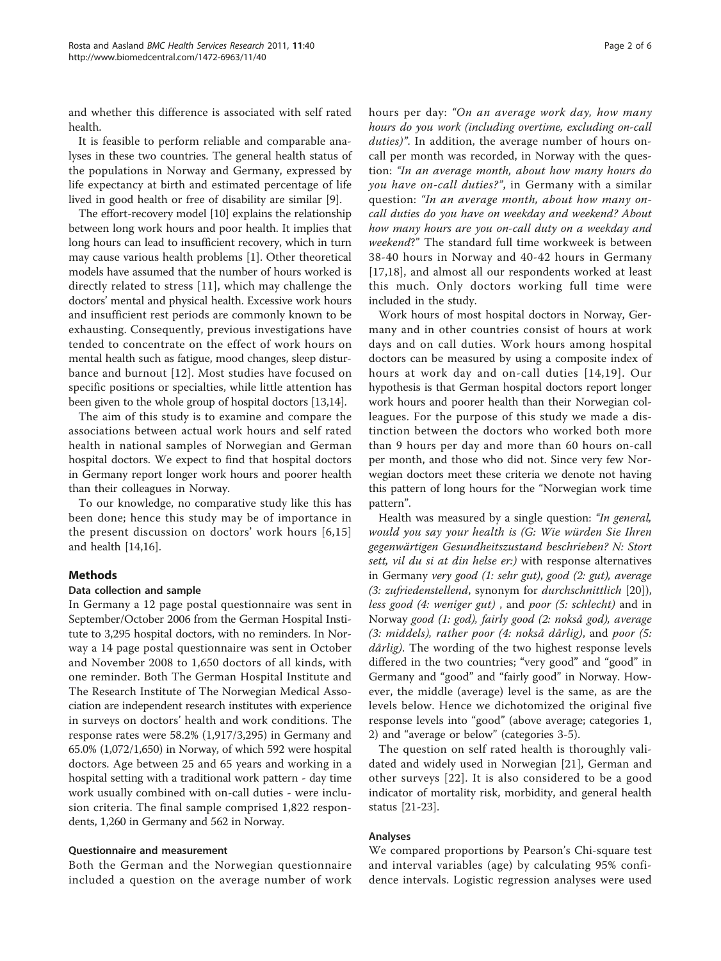and whether this difference is associated with self rated health.

It is feasible to perform reliable and comparable analyses in these two countries. The general health status of the populations in Norway and Germany, expressed by life expectancy at birth and estimated percentage of life lived in good health or free of disability are similar [\[9](#page-5-0)].

The effort-recovery model [[10](#page-5-0)] explains the relationship between long work hours and poor health. It implies that long hours can lead to insufficient recovery, which in turn may cause various health problems [[1\]](#page-5-0). Other theoretical models have assumed that the number of hours worked is directly related to stress [[11](#page-5-0)], which may challenge the doctors' mental and physical health. Excessive work hours and insufficient rest periods are commonly known to be exhausting. Consequently, previous investigations have tended to concentrate on the effect of work hours on mental health such as fatigue, mood changes, sleep disturbance and burnout [[12\]](#page-5-0). Most studies have focused on specific positions or specialties, while little attention has been given to the whole group of hospital doctors [\[13,14](#page-5-0)].

The aim of this study is to examine and compare the associations between actual work hours and self rated health in national samples of Norwegian and German hospital doctors. We expect to find that hospital doctors in Germany report longer work hours and poorer health than their colleagues in Norway.

To our knowledge, no comparative study like this has been done; hence this study may be of importance in the present discussion on doctors' work hours [[6,15](#page-5-0)] and health [\[14,16\]](#page-5-0).

# Methods

#### Data collection and sample

In Germany a 12 page postal questionnaire was sent in September/October 2006 from the German Hospital Institute to 3,295 hospital doctors, with no reminders. In Norway a 14 page postal questionnaire was sent in October and November 2008 to 1,650 doctors of all kinds, with one reminder. Both The German Hospital Institute and The Research Institute of The Norwegian Medical Association are independent research institutes with experience in surveys on doctors' health and work conditions. The response rates were 58.2% (1,917/3,295) in Germany and 65.0% (1,072/1,650) in Norway, of which 592 were hospital doctors. Age between 25 and 65 years and working in a hospital setting with a traditional work pattern - day time work usually combined with on-call duties - were inclusion criteria. The final sample comprised 1,822 respondents, 1,260 in Germany and 562 in Norway.

#### Questionnaire and measurement

Both the German and the Norwegian questionnaire included a question on the average number of work hours per day: "On an average work day, how many hours do you work (including overtime, excluding on-call duties)". In addition, the average number of hours oncall per month was recorded, in Norway with the question: "In an average month, about how many hours do you have on-call duties?", in Germany with a similar question: "In an average month, about how many oncall duties do you have on weekday and weekend? About how many hours are you on-call duty on a weekday and weekend?" The standard full time workweek is between 38-40 hours in Norway and 40-42 hours in Germany [[17,18](#page-5-0)], and almost all our respondents worked at least this much. Only doctors working full time were included in the study.

Work hours of most hospital doctors in Norway, Germany and in other countries consist of hours at work days and on call duties. Work hours among hospital doctors can be measured by using a composite index of hours at work day and on-call duties [[14](#page-5-0),[19](#page-5-0)]. Our hypothesis is that German hospital doctors report longer work hours and poorer health than their Norwegian colleagues. For the purpose of this study we made a distinction between the doctors who worked both more than 9 hours per day and more than 60 hours on-call per month, and those who did not. Since very few Norwegian doctors meet these criteria we denote not having this pattern of long hours for the "Norwegian work time pattern".

Health was measured by a single question: "In general, would you say your health is (G: Wie würden Sie Ihren gegenwärtigen Gesundheitszustand beschrieben? N: Stort sett, vil du si at din helse er:) with response alternatives in Germany very good (1: sehr gut), good (2: gut), average (3: zufriedenstellend, synonym for durchschnittlich [\[20](#page-5-0)]), less good (4: weniger gut) , and poor (5: schlecht) and in Norway good (1: god), fairly good (2: nokså god), average (3: middels), rather poor (4: nokså dårlig), and poor (5: dårlig). The wording of the two highest response levels differed in the two countries; "very good" and "good" in Germany and "good" and "fairly good" in Norway. However, the middle (average) level is the same, as are the levels below. Hence we dichotomized the original five response levels into "good" (above average; categories 1, 2) and "average or below" (categories 3-5).

The question on self rated health is thoroughly validated and widely used in Norwegian [[21\]](#page-5-0), German and other surveys [[22\]](#page-5-0). It is also considered to be a good indicator of mortality risk, morbidity, and general health status [[21](#page-5-0)-[23\]](#page-5-0).

# Analyses

We compared proportions by Pearson's Chi-square test and interval variables (age) by calculating 95% confidence intervals. Logistic regression analyses were used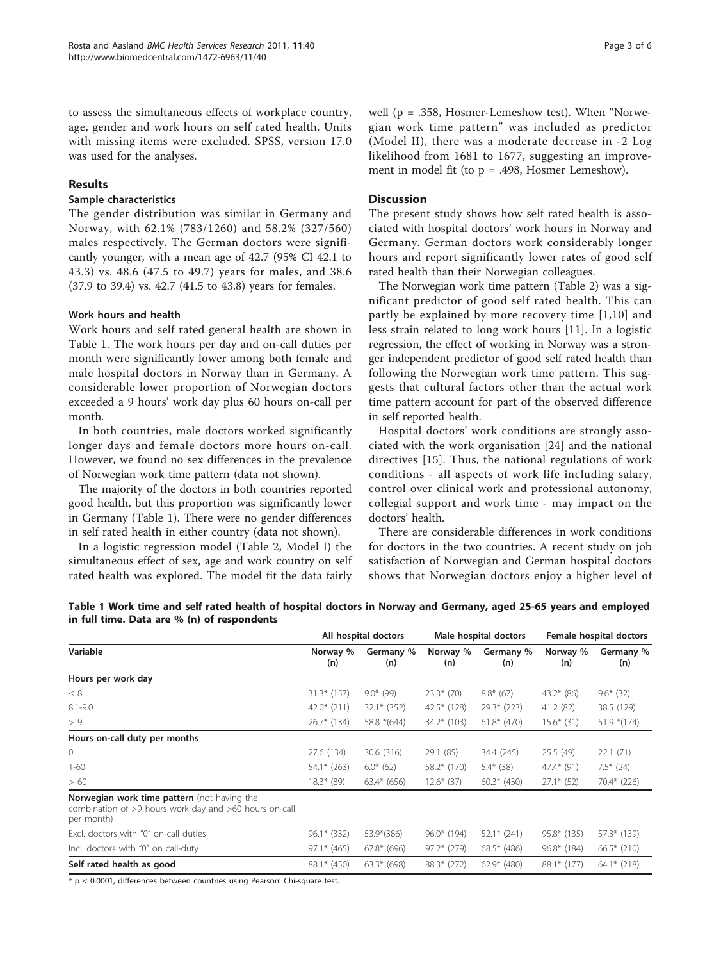to assess the simultaneous effects of workplace country, age, gender and work hours on self rated health. Units with missing items were excluded. SPSS, version 17.0 was used for the analyses.

#### Results

# Sample characteristics

The gender distribution was similar in Germany and Norway, with 62.1% (783/1260) and 58.2% (327/560) males respectively. The German doctors were significantly younger, with a mean age of 42.7 (95% CI 42.1 to 43.3) vs. 48.6 (47.5 to 49.7) years for males, and 38.6 (37.9 to 39.4) vs. 42.7 (41.5 to 43.8) years for females.

#### Work hours and health

Work hours and self rated general health are shown in Table 1. The work hours per day and on-call duties per month were significantly lower among both female and male hospital doctors in Norway than in Germany. A considerable lower proportion of Norwegian doctors exceeded a 9 hours' work day plus 60 hours on-call per month.

In both countries, male doctors worked significantly longer days and female doctors more hours on-call. However, we found no sex differences in the prevalence of Norwegian work time pattern (data not shown).

The majority of the doctors in both countries reported good health, but this proportion was significantly lower in Germany (Table 1). There were no gender differences in self rated health in either country (data not shown).

In a logistic regression model (Table [2,](#page-3-0) Model I) the simultaneous effect of sex, age and work country on self rated health was explored. The model fit the data fairly

# **Discussion**

The present study shows how self rated health is associated with hospital doctors' work hours in Norway and Germany. German doctors work considerably longer hours and report significantly lower rates of good self rated health than their Norwegian colleagues.

The Norwegian work time pattern (Table [2\)](#page-3-0) was a significant predictor of good self rated health. This can partly be explained by more recovery time [[1](#page-5-0),[10](#page-5-0)] and less strain related to long work hours [[11](#page-5-0)]. In a logistic regression, the effect of working in Norway was a stronger independent predictor of good self rated health than following the Norwegian work time pattern. This suggests that cultural factors other than the actual work time pattern account for part of the observed difference in self reported health.

Hospital doctors' work conditions are strongly associated with the work organisation [[24](#page-5-0)] and the national directives [\[15\]](#page-5-0). Thus, the national regulations of work conditions - all aspects of work life including salary, control over clinical work and professional autonomy, collegial support and work time - may impact on the doctors' health.

There are considerable differences in work conditions for doctors in the two countries. A recent study on job satisfaction of Norwegian and German hospital doctors shows that Norwegian doctors enjoy a higher level of

| $\mathbf{m}$ run anne. Data are 70 (n) or respondents                                                               | All hospital doctors |                  | Male hospital doctors |                  | Female hospital doctors |                  |
|---------------------------------------------------------------------------------------------------------------------|----------------------|------------------|-----------------------|------------------|-------------------------|------------------|
| Variable                                                                                                            | Norway %<br>(n)      | Germany %<br>(n) | Norway %<br>(n)       | Germany %<br>(n) | Norway %<br>(n)         | Germany %<br>(n) |
| Hours per work day                                                                                                  |                      |                  |                       |                  |                         |                  |
| $\leq 8$                                                                                                            | $31.3*$ (157)        | $9.0*$ (99)      | $23.3*$ (70)          | $8.8*$ (67)      | $43.2*$ (86)            | $9.6*$ (32)      |
| $8.1 - 9.0$                                                                                                         | $42.0*$ (211)        | $32.1*$ (352)    | $42.5*$ (128)         | $29.3*$ (223)    | 41.2 (82)               | 38.5 (129)       |
| > 9                                                                                                                 | $26.7*$ (134)        | 58.8 *(644)      | $34.2*$ (103)         | $61.8*$ (470)    | $15.6*$ (31)            | $51.9*(174)$     |
| Hours on-call duty per months                                                                                       |                      |                  |                       |                  |                         |                  |
| $\circ$                                                                                                             | 27.6 (134)           | 30.6 (316)       | 29.1 (85)             | 34.4 (245)       | 25.5 (49)               | 22.1(71)         |
| $1 - 60$                                                                                                            | $54.1*$ (263)        | $6.0*$ (62)      | $58.2*$ (170)         | $5.4*$ (38)      | $47.4*$ (91)            | $7.5*$ (24)      |
| > 60                                                                                                                | $18.3*$ (89)         | $63.4* (656)$    | $12.6*$ (37)          | $60.3*$ (430)    | $27.1*$ (52)            | 70.4* (226)      |
| Norwegian work time pattern (not having the<br>combination of >9 hours work day and >60 hours on-call<br>per month) |                      |                  |                       |                  |                         |                  |
| Excl. doctors with "0" on-call duties                                                                               | $96.1*$ (332)        | 53.9*(386)       | 96.0* (194)           | $52.1*$ (241)    | $95.8*$ (135)           | 57.3* (139)      |
| Incl. doctors with "0" on call-duty                                                                                 | $97.1* (465)$        | $67.8*$ (696)    | $97.2*$ (279)         | $68.5*$ (486)    | $96.8*$ (184)           | $66.5*$ (210)    |
| Self rated health as good                                                                                           | 88.1* (450)          | $63.3* (698)$    | 88.3* (272)           | $62.9*$ (480)    | 88.1* (177)             | $64.1*$ (218)    |

Table 1 Work time and self rated health of hospital doctors in Norway and Germany, aged 25-65 years and employed in full time. Data are % (n) of respondents

\* p < 0.0001, differences between countries using Pearson' Chi-square test.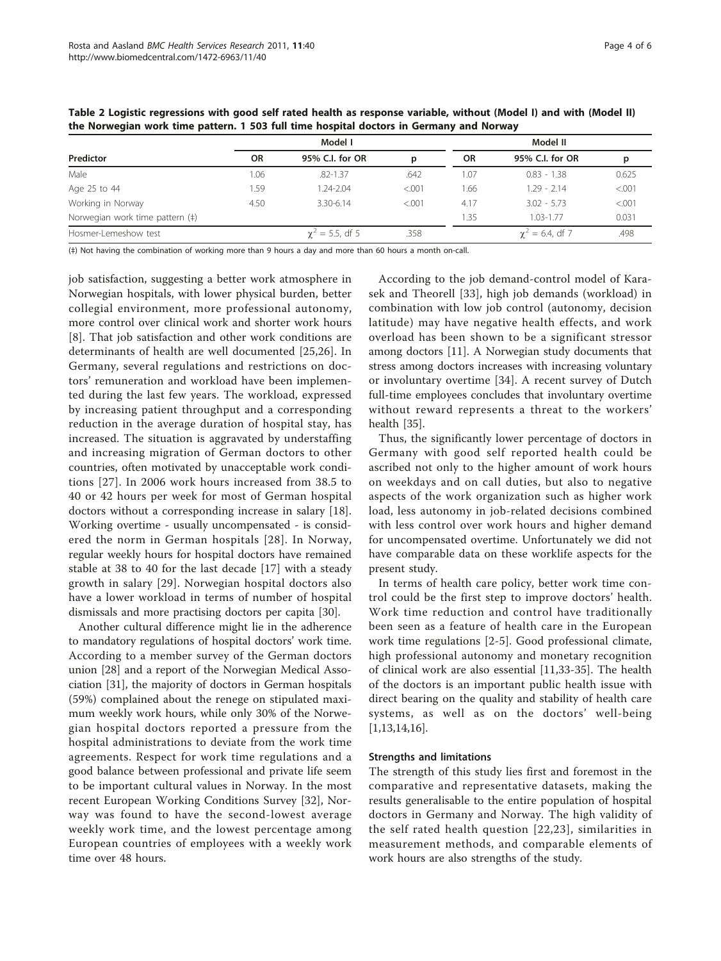|                                 | Model I   |                         |         | Model II |                        |        |  |
|---------------------------------|-----------|-------------------------|---------|----------|------------------------|--------|--|
| Predictor                       | <b>OR</b> | 95% C.I. for OR         | р       | OR.      | 95% C.I. for OR        | р      |  |
| Male                            | 1.06      | $.82 - 1.37$            | .642    | 1.07     | $0.83 - 1.38$          | 0.625  |  |
| Age 25 to 44                    | 1.59      | 1.24-2.04               | < 0.001 | 1.66     | $1.29 - 2.14$          | < .001 |  |
| Working in Norway               | 4.50      | 3.30-6.14               | < 0.001 | 4.17     | $3.02 - 5.73$          | < .001 |  |
| Norwegian work time pattern (‡) |           |                         |         | 1.35     | $1.03 - 1.77$          | 0.031  |  |
| Hosmer-Lemeshow test            |           | $\gamma^2 = 5.5$ , df 5 | .358    |          | $\gamma^2$ = 6.4, df 7 | .498   |  |

<span id="page-3-0"></span>Table 2 Logistic regressions with good self rated health as response variable, without (Model I) and with (Model II) the Norwegian work time pattern. 1 503 full time hospital doctors in Germany and Norway

(‡) Not having the combination of working more than 9 hours a day and more than 60 hours a month on-call.

job satisfaction, suggesting a better work atmosphere in Norwegian hospitals, with lower physical burden, better collegial environment, more professional autonomy, more control over clinical work and shorter work hours [[8\]](#page-5-0). That job satisfaction and other work conditions are determinants of health are well documented [[25,26\]](#page-5-0). In Germany, several regulations and restrictions on doctors' remuneration and workload have been implemented during the last few years. The workload, expressed by increasing patient throughput and a corresponding reduction in the average duration of hospital stay, has increased. The situation is aggravated by understaffing and increasing migration of German doctors to other countries, often motivated by unacceptable work conditions [[27\]](#page-5-0). In 2006 work hours increased from 38.5 to 40 or 42 hours per week for most of German hospital doctors without a corresponding increase in salary [\[18](#page-5-0)]. Working overtime - usually uncompensated - is considered the norm in German hospitals [\[28\]](#page-5-0). In Norway, regular weekly hours for hospital doctors have remained stable at 38 to 40 for the last decade [[17\]](#page-5-0) with a steady growth in salary [[29](#page-5-0)]. Norwegian hospital doctors also have a lower workload in terms of number of hospital dismissals and more practising doctors per capita [\[30](#page-5-0)].

Another cultural difference might lie in the adherence to mandatory regulations of hospital doctors' work time. According to a member survey of the German doctors union [[28\]](#page-5-0) and a report of the Norwegian Medical Association [[31](#page-5-0)], the majority of doctors in German hospitals (59%) complained about the renege on stipulated maximum weekly work hours, while only 30% of the Norwegian hospital doctors reported a pressure from the hospital administrations to deviate from the work time agreements. Respect for work time regulations and a good balance between professional and private life seem to be important cultural values in Norway. In the most recent European Working Conditions Survey [[32\]](#page-5-0), Norway was found to have the second-lowest average weekly work time, and the lowest percentage among European countries of employees with a weekly work time over 48 hours.

According to the job demand-control model of Karasek and Theorell [[33](#page-5-0)], high job demands (workload) in combination with low job control (autonomy, decision latitude) may have negative health effects, and work overload has been shown to be a significant stressor among doctors [[11\]](#page-5-0). A Norwegian study documents that stress among doctors increases with increasing voluntary or involuntary overtime [[34\]](#page-5-0). A recent survey of Dutch full-time employees concludes that involuntary overtime without reward represents a threat to the workers' health [\[35\]](#page-5-0).

Thus, the significantly lower percentage of doctors in Germany with good self reported health could be ascribed not only to the higher amount of work hours on weekdays and on call duties, but also to negative aspects of the work organization such as higher work load, less autonomy in job-related decisions combined with less control over work hours and higher demand for uncompensated overtime. Unfortunately we did not have comparable data on these worklife aspects for the present study.

In terms of health care policy, better work time control could be the first step to improve doctors' health. Work time reduction and control have traditionally been seen as a feature of health care in the European work time regulations [[2-5](#page-5-0)]. Good professional climate, high professional autonomy and monetary recognition of clinical work are also essential [\[11,33](#page-5-0)-[35\]](#page-5-0). The health of the doctors is an important public health issue with direct bearing on the quality and stability of health care systems, as well as on the doctors' well-being [[1,13,14,16](#page-5-0)].

#### Strengths and limitations

The strength of this study lies first and foremost in the comparative and representative datasets, making the results generalisable to the entire population of hospital doctors in Germany and Norway. The high validity of the self rated health question [[22,23\]](#page-5-0), similarities in measurement methods, and comparable elements of work hours are also strengths of the study.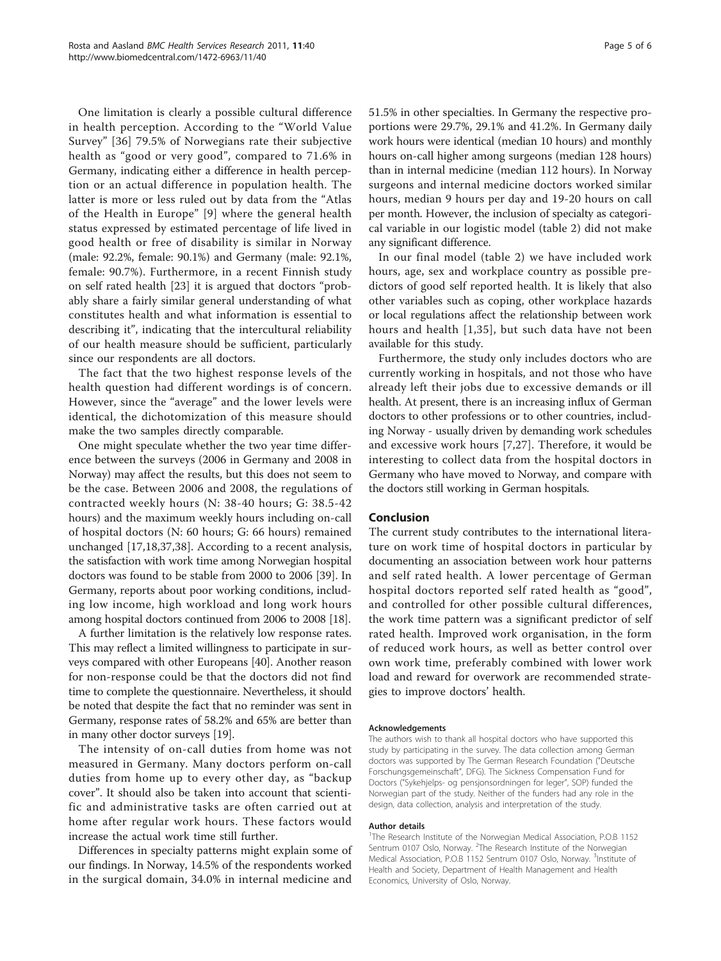One limitation is clearly a possible cultural difference in health perception. According to the "World Value Survey" [[36\]](#page-5-0) 79.5% of Norwegians rate their subjective health as "good or very good", compared to 71.6% in Germany, indicating either a difference in health perception or an actual difference in population health. The latter is more or less ruled out by data from the "Atlas of the Health in Europe" [\[9](#page-5-0)] where the general health status expressed by estimated percentage of life lived in good health or free of disability is similar in Norway (male: 92.2%, female: 90.1%) and Germany (male: 92.1%, female: 90.7%). Furthermore, in a recent Finnish study on self rated health [[23\]](#page-5-0) it is argued that doctors "probably share a fairly similar general understanding of what constitutes health and what information is essential to describing it", indicating that the intercultural reliability of our health measure should be sufficient, particularly since our respondents are all doctors.

The fact that the two highest response levels of the health question had different wordings is of concern. However, since the "average" and the lower levels were identical, the dichotomization of this measure should make the two samples directly comparable.

One might speculate whether the two year time difference between the surveys (2006 in Germany and 2008 in Norway) may affect the results, but this does not seem to be the case. Between 2006 and 2008, the regulations of contracted weekly hours (N: 38-40 hours; G: 38.5-42 hours) and the maximum weekly hours including on-call of hospital doctors (N: 60 hours; G: 66 hours) remained unchanged [\[17,18,37](#page-5-0),[38\]](#page-5-0). According to a recent analysis, the satisfaction with work time among Norwegian hospital doctors was found to be stable from 2000 to 2006 [\[39\]](#page-5-0). In Germany, reports about poor working conditions, including low income, high workload and long work hours among hospital doctors continued from 2006 to 2008 [\[18\]](#page-5-0).

A further limitation is the relatively low response rates. This may reflect a limited willingness to participate in surveys compared with other Europeans [[40](#page-5-0)]. Another reason for non-response could be that the doctors did not find time to complete the questionnaire. Nevertheless, it should be noted that despite the fact that no reminder was sent in Germany, response rates of 58.2% and 65% are better than in many other doctor surveys [\[19\]](#page-5-0).

The intensity of on-call duties from home was not measured in Germany. Many doctors perform on-call duties from home up to every other day, as "backup cover". It should also be taken into account that scientific and administrative tasks are often carried out at home after regular work hours. These factors would increase the actual work time still further.

Differences in specialty patterns might explain some of our findings. In Norway, 14.5% of the respondents worked in the surgical domain, 34.0% in internal medicine and

51.5% in other specialties. In Germany the respective proportions were 29.7%, 29.1% and 41.2%. In Germany daily work hours were identical (median 10 hours) and monthly hours on-call higher among surgeons (median 128 hours) than in internal medicine (median 112 hours). In Norway surgeons and internal medicine doctors worked similar hours, median 9 hours per day and 19-20 hours on call per month. However, the inclusion of specialty as categorical variable in our logistic model (table [2\)](#page-3-0) did not make any significant difference.

In our final model (table [2\)](#page-3-0) we have included work hours, age, sex and workplace country as possible predictors of good self reported health. It is likely that also other variables such as coping, other workplace hazards or local regulations affect the relationship between work hours and health [[1](#page-5-0),[35](#page-5-0)], but such data have not been available for this study.

Furthermore, the study only includes doctors who are currently working in hospitals, and not those who have already left their jobs due to excessive demands or ill health. At present, there is an increasing influx of German doctors to other professions or to other countries, including Norway - usually driven by demanding work schedules and excessive work hours [[7,27\]](#page-5-0). Therefore, it would be interesting to collect data from the hospital doctors in Germany who have moved to Norway, and compare with the doctors still working in German hospitals.

# Conclusion

The current study contributes to the international literature on work time of hospital doctors in particular by documenting an association between work hour patterns and self rated health. A lower percentage of German hospital doctors reported self rated health as "good", and controlled for other possible cultural differences, the work time pattern was a significant predictor of self rated health. Improved work organisation, in the form of reduced work hours, as well as better control over own work time, preferably combined with lower work load and reward for overwork are recommended strategies to improve doctors' health.

#### Acknowledgements

The authors wish to thank all hospital doctors who have supported this study by participating in the survey. The data collection among German doctors was supported by The German Research Foundation ("Deutsche Forschungsgemeinschaft", DFG). The Sickness Compensation Fund for Doctors ("Sykehjelps- og pensjonsordningen for leger", SOP) funded the Norwegian part of the study. Neither of the funders had any role in the design, data collection, analysis and interpretation of the study.

#### Author details

<sup>1</sup>The Research Institute of the Norwegian Medical Association, P.O.B 1152 Sentrum 0107 Oslo, Norway. <sup>2</sup>The Research Institute of the Norwegian Medical Association, P.O.B 1152 Sentrum 0107 Oslo, Norway. <sup>3</sup>Institute of Health and Society, Department of Health Management and Health Economics, University of Oslo, Norway.